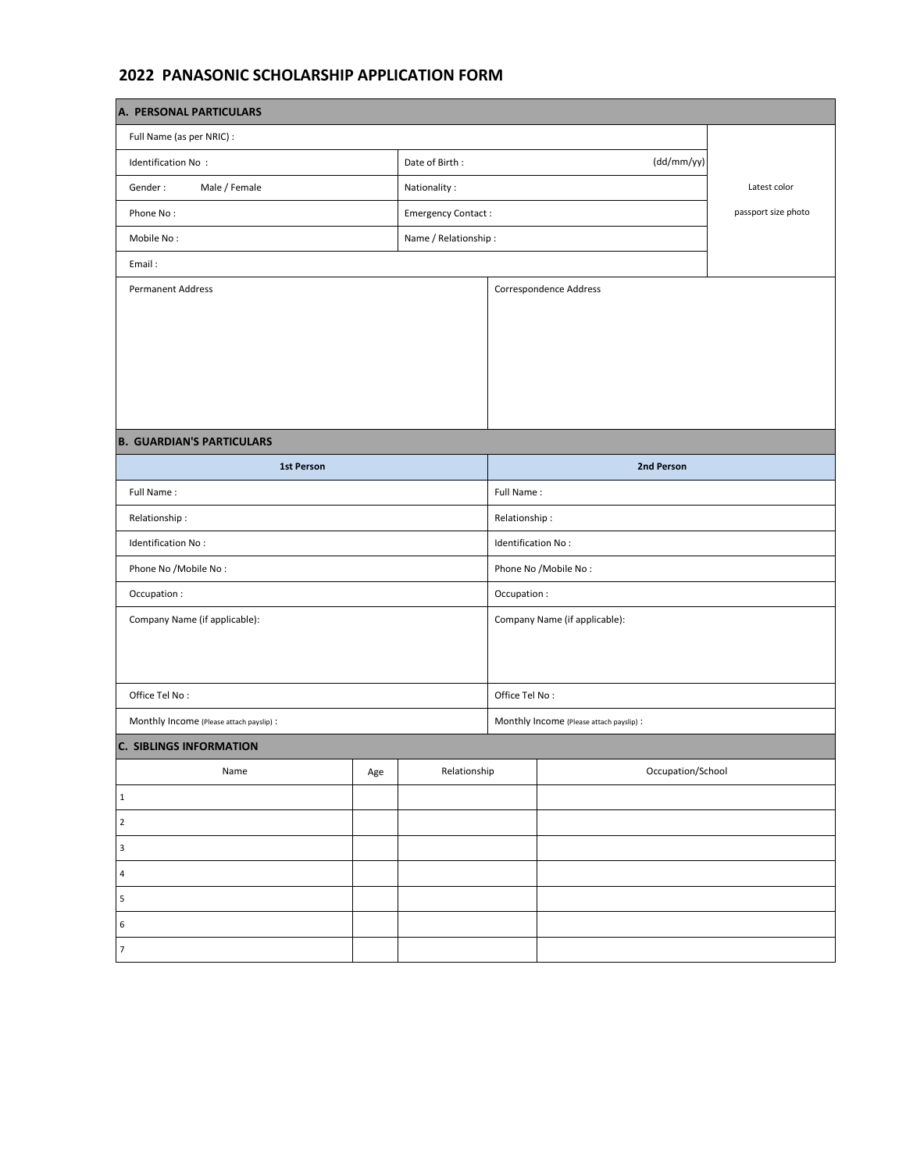## **2022 PANASONIC SCHOLARSHIP APPLICATION FORM**

| A. PERSONAL PARTICULARS                  |     |                              |                               |                                          |                     |  |
|------------------------------------------|-----|------------------------------|-------------------------------|------------------------------------------|---------------------|--|
| Full Name (as per NRIC) :                |     |                              |                               |                                          |                     |  |
| Identification No:                       |     | Date of Birth:<br>(dd/mm/yy) |                               |                                          |                     |  |
| Male / Female<br>Gender:                 |     | Latest color<br>Nationality: |                               |                                          |                     |  |
| Phone No:                                |     | <b>Emergency Contact:</b>    |                               |                                          | passport size photo |  |
| Mobile No:                               |     | Name / Relationship:         |                               |                                          |                     |  |
| Email:                                   |     |                              |                               |                                          |                     |  |
| <b>Permanent Address</b>                 |     |                              | Correspondence Address        |                                          |                     |  |
|                                          |     |                              |                               |                                          |                     |  |
|                                          |     |                              |                               |                                          |                     |  |
|                                          |     |                              |                               |                                          |                     |  |
|                                          |     |                              |                               |                                          |                     |  |
|                                          |     |                              |                               |                                          |                     |  |
| <b>B. GUARDIAN'S PARTICULARS</b>         |     |                              |                               |                                          |                     |  |
| <b>1st Person</b>                        |     |                              | 2nd Person                    |                                          |                     |  |
| Full Name:                               |     |                              | Full Name:                    |                                          |                     |  |
| Relationship:                            |     |                              | Relationship:                 |                                          |                     |  |
| Identification No:                       |     |                              | Identification No:            |                                          |                     |  |
| Phone No /Mobile No:                     |     |                              | Phone No /Mobile No:          |                                          |                     |  |
| Occupation:                              |     |                              | Occupation:                   |                                          |                     |  |
| Company Name (if applicable):            |     |                              | Company Name (if applicable): |                                          |                     |  |
|                                          |     |                              |                               |                                          |                     |  |
|                                          |     |                              |                               |                                          |                     |  |
| Office Tel No:                           |     |                              | Office Tel No:                |                                          |                     |  |
| Monthly Income (Please attach payslip) : |     |                              |                               | Monthly Income (Please attach payslip) : |                     |  |
| <b>C. SIBLINGS INFORMATION</b>           |     |                              |                               |                                          |                     |  |
| Name                                     | Age | Relationship                 |                               | Occupation/School                        |                     |  |
| $\mathbf{1}$                             |     |                              |                               |                                          |                     |  |
| $\overline{2}$                           |     |                              |                               |                                          |                     |  |
| $\ensuremath{\mathsf{3}}$                |     |                              |                               |                                          |                     |  |
| $\overline{4}$                           |     |                              |                               |                                          |                     |  |
| 5                                        |     |                              |                               |                                          |                     |  |
| 6                                        |     |                              |                               |                                          |                     |  |
| $\overline{7}$                           |     |                              |                               |                                          |                     |  |